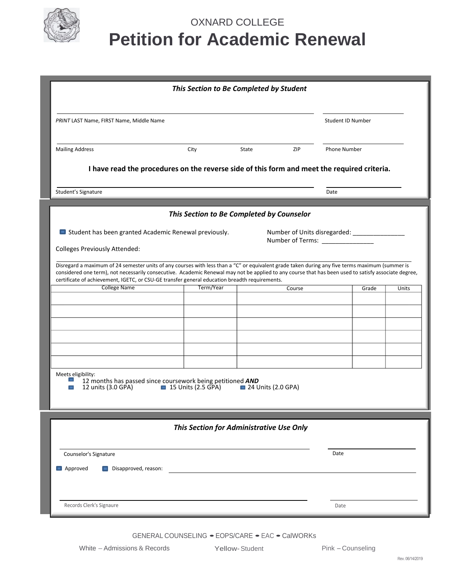

# OXNARD COLLEGE **Petition for Academic Renewal**

| This Section to Be Completed by Student                                                                                                                                                                                                                                                                                                                                                                                                                                                                                                                                                       |           |  |        |                     |       |       |
|-----------------------------------------------------------------------------------------------------------------------------------------------------------------------------------------------------------------------------------------------------------------------------------------------------------------------------------------------------------------------------------------------------------------------------------------------------------------------------------------------------------------------------------------------------------------------------------------------|-----------|--|--------|---------------------|-------|-------|
| PRINT LAST Name, FIRST Name, Middle Name                                                                                                                                                                                                                                                                                                                                                                                                                                                                                                                                                      |           |  |        | Student ID Number   |       |       |
| <b>Mailing Address</b><br><b>ZIP</b><br>City<br>State                                                                                                                                                                                                                                                                                                                                                                                                                                                                                                                                         |           |  |        | <b>Phone Number</b> |       |       |
| I have read the procedures on the reverse side of this form and meet the required criteria.                                                                                                                                                                                                                                                                                                                                                                                                                                                                                                   |           |  |        |                     |       |       |
| Student's Signature                                                                                                                                                                                                                                                                                                                                                                                                                                                                                                                                                                           |           |  |        | Date                |       |       |
| This Section to Be Completed by Counselor                                                                                                                                                                                                                                                                                                                                                                                                                                                                                                                                                     |           |  |        |                     |       |       |
| Student has been granted Academic Renewal previously.<br>Number of Units disregarded: _______________<br>Number of Terms: _______________<br><b>Colleges Previously Attended:</b><br>Disregard a maximum of 24 semester units of any courses with less than a "C" or equivalent grade taken during any five terms maximum (summer is<br>considered one term), not necessarily consecutive. Academic Renewal may not be applied to any course that has been used to satisfy associate degree,<br>certificate of achievement, IGETC, or CSU-GE transfer general education breadth requirements. |           |  |        |                     |       |       |
| <b>College Name</b>                                                                                                                                                                                                                                                                                                                                                                                                                                                                                                                                                                           | Term/Year |  | Course |                     | Grade | Units |
| Meets eligibility:<br>12 months has passed since coursework being petitioned AND<br><b>15 Units (2.5 GPA)</b> 24 Units (2.0 GPA)<br>12 units (3.0 GPA)                                                                                                                                                                                                                                                                                                                                                                                                                                        |           |  |        |                     |       |       |
| This Section for Administrative Use Only                                                                                                                                                                                                                                                                                                                                                                                                                                                                                                                                                      |           |  |        |                     |       |       |
| Counselor's Signature<br>$\Box$ Approved<br>$\Box$ Disapproved, reason:                                                                                                                                                                                                                                                                                                                                                                                                                                                                                                                       |           |  |        | Date                |       |       |
| Records Clerk's Signaure                                                                                                                                                                                                                                                                                                                                                                                                                                                                                                                                                                      |           |  |        | Date                |       |       |

GENERAL COUNSELING • EOPS/CARE • EAC • CalWORKs